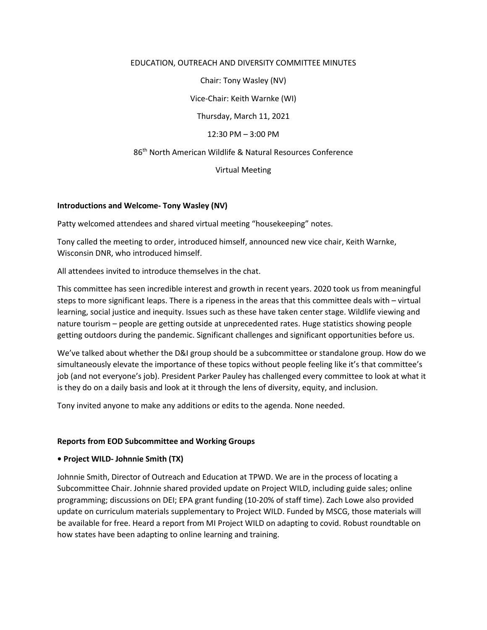### EDUCATION, OUTREACH AND DIVERSITY COMMITTEE MINUTES

Chair: Tony Wasley (NV)

Vice-Chair: Keith Warnke (WI)

Thursday, March 11, 2021

12:30 PM – 3:00 PM

86th North American Wildlife & Natural Resources Conference

Virtual Meeting

## **Introductions and Welcome- Tony Wasley (NV)**

Patty welcomed attendees and shared virtual meeting "housekeeping" notes.

Tony called the meeting to order, introduced himself, announced new vice chair, Keith Warnke, Wisconsin DNR, who introduced himself.

All attendees invited to introduce themselves in the chat.

This committee has seen incredible interest and growth in recent years. 2020 took us from meaningful steps to more significant leaps. There is a ripeness in the areas that this committee deals with – virtual learning, social justice and inequity. Issues such as these have taken center stage. Wildlife viewing and nature tourism – people are getting outside at unprecedented rates. Huge statistics showing people getting outdoors during the pandemic. Significant challenges and significant opportunities before us.

We've talked about whether the D&I group should be a subcommittee or standalone group. How do we simultaneously elevate the importance of these topics without people feeling like it's that committee's job (and not everyone's job). President Parker Pauley has challenged every committee to look at what it is they do on a daily basis and look at it through the lens of diversity, equity, and inclusion.

Tony invited anyone to make any additions or edits to the agenda. None needed.

#### **Reports from EOD Subcommittee and Working Groups**

## **• Project WILD- Johnnie Smith (TX)**

Johnnie Smith, Director of Outreach and Education at TPWD. We are in the process of locating a Subcommittee Chair. Johnnie shared provided update on Project WILD, including guide sales; online programming; discussions on DEI; EPA grant funding (10-20% of staff time). Zach Lowe also provided update on curriculum materials supplementary to Project WILD. Funded by MSCG, those materials will be available for free. Heard a report from MI Project WILD on adapting to covid. Robust roundtable on how states have been adapting to online learning and training.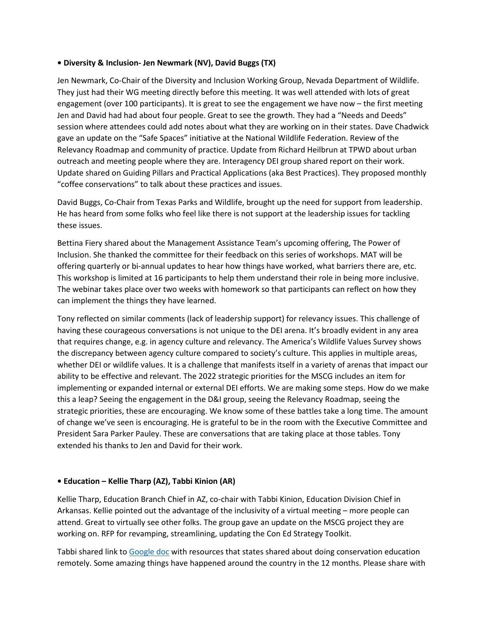## **• Diversity & Inclusion- Jen Newmark (NV), David Buggs (TX)**

Jen Newmark, Co-Chair of the Diversity and Inclusion Working Group, Nevada Department of Wildlife. They just had their WG meeting directly before this meeting. It was well attended with lots of great engagement (over 100 participants). It is great to see the engagement we have now – the first meeting Jen and David had had about four people. Great to see the growth. They had a "Needs and Deeds" session where attendees could add notes about what they are working on in their states. Dave Chadwick gave an update on the "Safe Spaces" initiative at the National Wildlife Federation. Review of the Relevancy Roadmap and community of practice. Update from Richard Heilbrun at TPWD about urban outreach and meeting people where they are. Interagency DEI group shared report on their work. Update shared on Guiding Pillars and Practical Applications (aka Best Practices). They proposed monthly "coffee conservations" to talk about these practices and issues.

David Buggs, Co-Chair from Texas Parks and Wildlife, brought up the need for support from leadership. He has heard from some folks who feel like there is not support at the leadership issues for tackling these issues.

Bettina Fiery shared about the Management Assistance Team's upcoming offering, The Power of Inclusion. She thanked the committee for their feedback on this series of workshops. MAT will be offering quarterly or bi-annual updates to hear how things have worked, what barriers there are, etc. This workshop is limited at 16 participants to help them understand their role in being more inclusive. The webinar takes place over two weeks with homework so that participants can reflect on how they can implement the things they have learned.

Tony reflected on similar comments (lack of leadership support) for relevancy issues. This challenge of having these courageous conversations is not unique to the DEI arena. It's broadly evident in any area that requires change, e.g. in agency culture and relevancy. The America's Wildlife Values Survey shows the discrepancy between agency culture compared to society's culture. This applies in multiple areas, whether DEI or wildlife values. It is a challenge that manifests itself in a variety of arenas that impact our ability to be effective and relevant. The 2022 strategic priorities for the MSCG includes an item for implementing or expanded internal or external DEI efforts. We are making some steps. How do we make this a leap? Seeing the engagement in the D&I group, seeing the Relevancy Roadmap, seeing the strategic priorities, these are encouraging. We know some of these battles take a long time. The amount of change we've seen is encouraging. He is grateful to be in the room with the Executive Committee and President Sara Parker Pauley. These are conversations that are taking place at those tables. Tony extended his thanks to Jen and David for their work.

## **• Education – Kellie Tharp (AZ), Tabbi Kinion (AR)**

Kellie Tharp, Education Branch Chief in AZ, co-chair with Tabbi Kinion, Education Division Chief in Arkansas. Kellie pointed out the advantage of the inclusivity of a virtual meeting – more people can attend. Great to virtually see other folks. The group gave an update on the MSCG project they are working on. RFP for revamping, streamlining, updating the Con Ed Strategy Toolkit.

Tabbi shared link to [Google doc](https://docs.google.com/document/d/1GaSLm9wcaFz4T5aYQ6cXGVefpPvf6hdWJABImeee1_w/edit?usp=sharing) with resources that states shared about doing conservation education remotely. Some amazing things have happened around the country in the 12 months. Please share with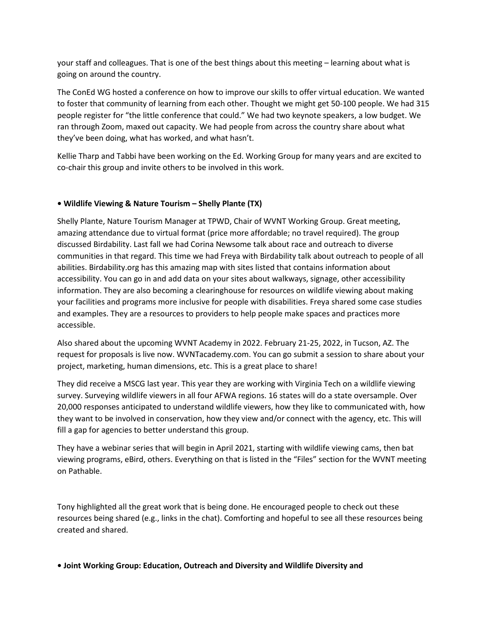your staff and colleagues. That is one of the best things about this meeting – learning about what is going on around the country.

The ConEd WG hosted a conference on how to improve our skills to offer virtual education. We wanted to foster that community of learning from each other. Thought we might get 50-100 people. We had 315 people register for "the little conference that could." We had two keynote speakers, a low budget. We ran through Zoom, maxed out capacity. We had people from across the country share about what they've been doing, what has worked, and what hasn't.

Kellie Tharp and Tabbi have been working on the Ed. Working Group for many years and are excited to co-chair this group and invite others to be involved in this work.

## **• Wildlife Viewing & Nature Tourism – Shelly Plante (TX)**

Shelly Plante, Nature Tourism Manager at TPWD, Chair of WVNT Working Group. Great meeting, amazing attendance due to virtual format (price more affordable; no travel required). The group discussed Birdability. Last fall we had Corina Newsome talk about race and outreach to diverse communities in that regard. This time we had Freya with Birdability talk about outreach to people of all abilities. Birdability.org has this amazing map with sites listed that contains information about accessibility. You can go in and add data on your sites about walkways, signage, other accessibility information. They are also becoming a clearinghouse for resources on wildlife viewing about making your facilities and programs more inclusive for people with disabilities. Freya shared some case studies and examples. They are a resources to providers to help people make spaces and practices more accessible.

Also shared about the upcoming WVNT Academy in 2022. February 21-25, 2022, in Tucson, AZ. The request for proposals is live now. WVNTacademy.com. You can go submit a session to share about your project, marketing, human dimensions, etc. This is a great place to share!

They did receive a MSCG last year. This year they are working with Virginia Tech on a wildlife viewing survey. Surveying wildlife viewers in all four AFWA regions. 16 states will do a state oversample. Over 20,000 responses anticipated to understand wildlife viewers, how they like to communicated with, how they want to be involved in conservation, how they view and/or connect with the agency, etc. This will fill a gap for agencies to better understand this group.

They have a webinar series that will begin in April 2021, starting with wildlife viewing cams, then bat viewing programs, eBird, others. Everything on that is listed in the "Files" section for the WVNT meeting on Pathable.

Tony highlighted all the great work that is being done. He encouraged people to check out these resources being shared (e.g., links in the chat). Comforting and hopeful to see all these resources being created and shared.

**• Joint Working Group: Education, Outreach and Diversity and Wildlife Diversity and**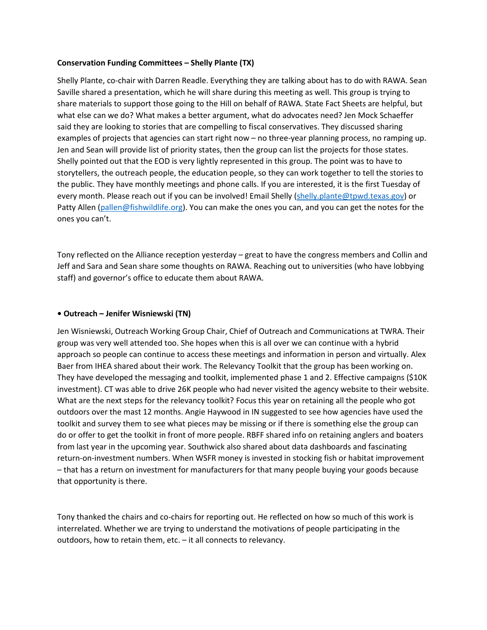## **Conservation Funding Committees – Shelly Plante (TX)**

Shelly Plante, co-chair with Darren Readle. Everything they are talking about has to do with RAWA. Sean Saville shared a presentation, which he will share during this meeting as well. This group is trying to share materials to support those going to the Hill on behalf of RAWA. State Fact Sheets are helpful, but what else can we do? What makes a better argument, what do advocates need? Jen Mock Schaeffer said they are looking to stories that are compelling to fiscal conservatives. They discussed sharing examples of projects that agencies can start right now – no three-year planning process, no ramping up. Jen and Sean will provide list of priority states, then the group can list the projects for those states. Shelly pointed out that the EOD is very lightly represented in this group. The point was to have to storytellers, the outreach people, the education people, so they can work together to tell the stories to the public. They have monthly meetings and phone calls. If you are interested, it is the first Tuesday of every month. Please reach out if you can be involved! Email Shelly [\(shelly.plante@tpwd.texas.gov\)](mailto:shelly.plante@tpwd.texas.gov) or Patty Allen [\(pallen@fishwildlife.org\)](mailto:pallen@fishwildlife.org). You can make the ones you can, and you can get the notes for the ones you can't.

Tony reflected on the Alliance reception yesterday – great to have the congress members and Collin and Jeff and Sara and Sean share some thoughts on RAWA. Reaching out to universities (who have lobbying staff) and governor's office to educate them about RAWA.

#### **• Outreach – Jenifer Wisniewski (TN)**

Jen Wisniewski, Outreach Working Group Chair, Chief of Outreach and Communications at TWRA. Their group was very well attended too. She hopes when this is all over we can continue with a hybrid approach so people can continue to access these meetings and information in person and virtually. Alex Baer from IHEA shared about their work. The Relevancy Toolkit that the group has been working on. They have developed the messaging and toolkit, implemented phase 1 and 2. Effective campaigns (\$10K investment). CT was able to drive 26K people who had never visited the agency website to their website. What are the next steps for the relevancy toolkit? Focus this year on retaining all the people who got outdoors over the mast 12 months. Angie Haywood in IN suggested to see how agencies have used the toolkit and survey them to see what pieces may be missing or if there is something else the group can do or offer to get the toolkit in front of more people. RBFF shared info on retaining anglers and boaters from last year in the upcoming year. Southwick also shared about data dashboards and fascinating return-on-investment numbers. When WSFR money is invested in stocking fish or habitat improvement – that has a return on investment for manufacturers for that many people buying your goods because that opportunity is there.

Tony thanked the chairs and co-chairs for reporting out. He reflected on how so much of this work is interrelated. Whether we are trying to understand the motivations of people participating in the outdoors, how to retain them, etc. – it all connects to relevancy.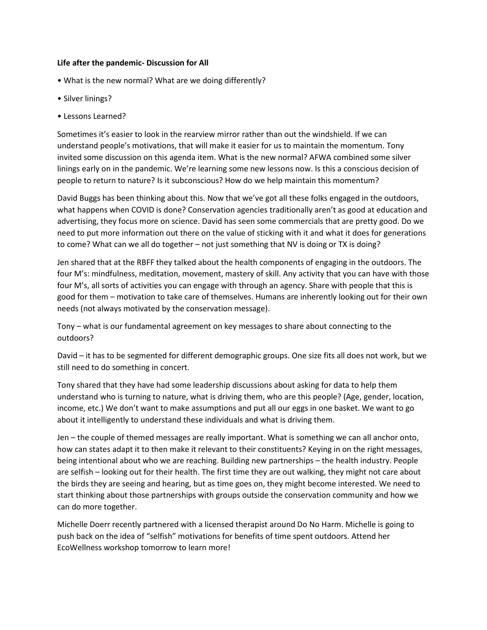### **Life after the pandemic- Discussion for All**

- What is the new normal? What are we doing differently?
- Silver linings?
- Lessons Learned?

Sometimes it's easier to look in the rearview mirror rather than out the windshield. If we can understand people's motivations, that will make it easier for us to maintain the momentum. Tony invited some discussion on this agenda item. What is the new normal? AFWA combined some silver linings early on in the pandemic. We're learning some new lessons now. Is this a conscious decision of people to return to nature? Is it subconscious? How do we help maintain this momentum?

David Buggs has been thinking about this. Now that we've got all these folks engaged in the outdoors, what happens when COVID is done? Conservation agencies traditionally aren't as good at education and advertising, they focus more on science. David has seen some commercials that are pretty good. Do we need to put more information out there on the value of sticking with it and what it does for generations to come? What can we all do together – not just something that NV is doing or TX is doing?

Jen shared that at the RBFF they talked about the health components of engaging in the outdoors. The four M's: mindfulness, meditation, movement, mastery of skill. Any activity that you can have with those four M's, all sorts of activities you can engage with through an agency. Share with people that this is good for them – motivation to take care of themselves. Humans are inherently looking out for their own needs (not always motivated by the conservation message).

Tony – what is our fundamental agreement on key messages to share about connecting to the outdoors?

David – it has to be segmented for different demographic groups. One size fits all does not work, but we still need to do something in concert.

Tony shared that they have had some leadership discussions about asking for data to help them understand who is turning to nature, what is driving them, who are this people? (Age, gender, location, income, etc.) We don't want to make assumptions and put all our eggs in one basket. We want to go about it intelligently to understand these individuals and what is driving them.

Jen – the couple of themed messages are really important. What is something we can all anchor onto, how can states adapt it to then make it relevant to their constituents? Keying in on the right messages, being intentional about who we are reaching. Building new partnerships – the health industry. People are selfish – looking out for their health. The first time they are out walking, they might not care about the birds they are seeing and hearing, but as time goes on, they might become interested. We need to start thinking about those partnerships with groups outside the conservation community and how we can do more together.

Michelle Doerr recently partnered with a licensed therapist around Do No Harm. Michelle is going to push back on the idea of "selfish" motivations for benefits of time spent outdoors. Attend her EcoWellness workshop tomorrow to learn more!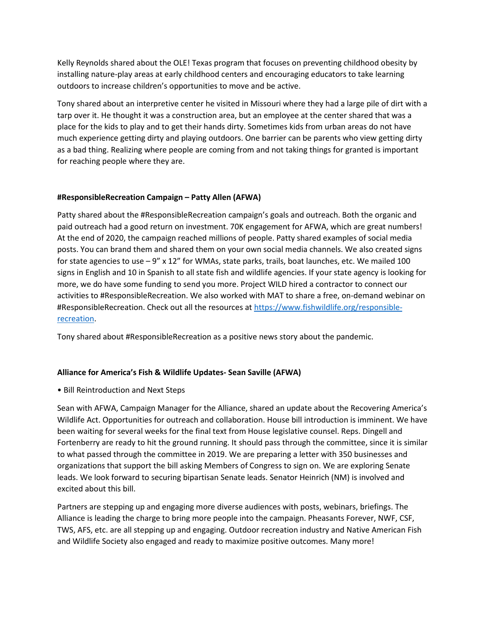Kelly Reynolds shared about the OLE! Texas program that focuses on preventing childhood obesity by installing nature-play areas at early childhood centers and encouraging educators to take learning outdoors to increase children's opportunities to move and be active.

Tony shared about an interpretive center he visited in Missouri where they had a large pile of dirt with a tarp over it. He thought it was a construction area, but an employee at the center shared that was a place for the kids to play and to get their hands dirty. Sometimes kids from urban areas do not have much experience getting dirty and playing outdoors. One barrier can be parents who view getting dirty as a bad thing. Realizing where people are coming from and not taking things for granted is important for reaching people where they are.

# **#ResponsibleRecreation Campaign – Patty Allen (AFWA)**

Patty shared about the #ResponsibleRecreation campaign's goals and outreach. Both the organic and paid outreach had a good return on investment. 70K engagement for AFWA, which are great numbers! At the end of 2020, the campaign reached millions of people. Patty shared examples of social media posts. You can brand them and shared them on your own social media channels. We also created signs for state agencies to use  $-9''$  x 12" for WMAs, state parks, trails, boat launches, etc. We mailed 100 signs in English and 10 in Spanish to all state fish and wildlife agencies. If your state agency is looking for more, we do have some funding to send you more. Project WILD hired a contractor to connect our activities to #ResponsibleRecreation. We also worked with MAT to share a free, on-demand webinar on #ResponsibleRecreation. Check out all the resources a[t https://www.fishwildlife.org/responsible](https://www.fishwildlife.org/responsible-recreation)[recreation.](https://www.fishwildlife.org/responsible-recreation)

Tony shared about #ResponsibleRecreation as a positive news story about the pandemic.

# **Alliance for America's Fish & Wildlife Updates- Sean Saville (AFWA)**

• Bill Reintroduction and Next Steps

Sean with AFWA, Campaign Manager for the Alliance, shared an update about the Recovering America's Wildlife Act. Opportunities for outreach and collaboration. House bill introduction is imminent. We have been waiting for several weeks for the final text from House legislative counsel. Reps. Dingell and Fortenberry are ready to hit the ground running. It should pass through the committee, since it is similar to what passed through the committee in 2019. We are preparing a letter with 350 businesses and organizations that support the bill asking Members of Congress to sign on. We are exploring Senate leads. We look forward to securing bipartisan Senate leads. Senator Heinrich (NM) is involved and excited about this bill.

Partners are stepping up and engaging more diverse audiences with posts, webinars, briefings. The Alliance is leading the charge to bring more people into the campaign. Pheasants Forever, NWF, CSF, TWS, AFS, etc. are all stepping up and engaging. Outdoor recreation industry and Native American Fish and Wildlife Society also engaged and ready to maximize positive outcomes. Many more!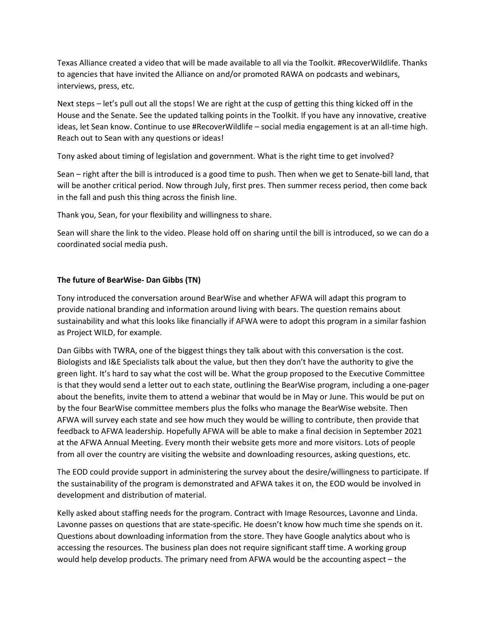Texas Alliance created a video that will be made available to all via the Toolkit. #RecoverWildlife. Thanks to agencies that have invited the Alliance on and/or promoted RAWA on podcasts and webinars, interviews, press, etc.

Next steps – let's pull out all the stops! We are right at the cusp of getting this thing kicked off in the House and the Senate. See the updated talking points in the Toolkit. If you have any innovative, creative ideas, let Sean know. Continue to use #RecoverWildlife – social media engagement is at an all-time high. Reach out to Sean with any questions or ideas!

Tony asked about timing of legislation and government. What is the right time to get involved?

Sean – right after the bill is introduced is a good time to push. Then when we get to Senate-bill land, that will be another critical period. Now through July, first pres. Then summer recess period, then come back in the fall and push this thing across the finish line.

Thank you, Sean, for your flexibility and willingness to share.

Sean will share the link to the video. Please hold off on sharing until the bill is introduced, so we can do a coordinated social media push.

## **The future of BearWise- Dan Gibbs (TN)**

Tony introduced the conversation around BearWise and whether AFWA will adapt this program to provide national branding and information around living with bears. The question remains about sustainability and what this looks like financially if AFWA were to adopt this program in a similar fashion as Project WILD, for example.

Dan Gibbs with TWRA, one of the biggest things they talk about with this conversation is the cost. Biologists and I&E Specialists talk about the value, but then they don't have the authority to give the green light. It's hard to say what the cost will be. What the group proposed to the Executive Committee is that they would send a letter out to each state, outlining the BearWise program, including a one-pager about the benefits, invite them to attend a webinar that would be in May or June. This would be put on by the four BearWise committee members plus the folks who manage the BearWise website. Then AFWA will survey each state and see how much they would be willing to contribute, then provide that feedback to AFWA leadership. Hopefully AFWA will be able to make a final decision in September 2021 at the AFWA Annual Meeting. Every month their website gets more and more visitors. Lots of people from all over the country are visiting the website and downloading resources, asking questions, etc.

The EOD could provide support in administering the survey about the desire/willingness to participate. If the sustainability of the program is demonstrated and AFWA takes it on, the EOD would be involved in development and distribution of material.

Kelly asked about staffing needs for the program. Contract with Image Resources, Lavonne and Linda. Lavonne passes on questions that are state-specific. He doesn't know how much time she spends on it. Questions about downloading information from the store. They have Google analytics about who is accessing the resources. The business plan does not require significant staff time. A working group would help develop products. The primary need from AFWA would be the accounting aspect – the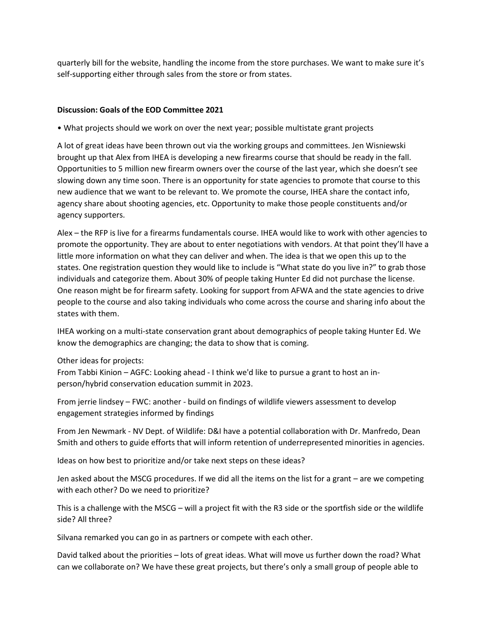quarterly bill for the website, handling the income from the store purchases. We want to make sure it's self-supporting either through sales from the store or from states.

## **Discussion: Goals of the EOD Committee 2021**

• What projects should we work on over the next year; possible multistate grant projects

A lot of great ideas have been thrown out via the working groups and committees. Jen Wisniewski brought up that Alex from IHEA is developing a new firearms course that should be ready in the fall. Opportunities to 5 million new firearm owners over the course of the last year, which she doesn't see slowing down any time soon. There is an opportunity for state agencies to promote that course to this new audience that we want to be relevant to. We promote the course, IHEA share the contact info, agency share about shooting agencies, etc. Opportunity to make those people constituents and/or agency supporters.

Alex – the RFP is live for a firearms fundamentals course. IHEA would like to work with other agencies to promote the opportunity. They are about to enter negotiations with vendors. At that point they'll have a little more information on what they can deliver and when. The idea is that we open this up to the states. One registration question they would like to include is "What state do you live in?" to grab those individuals and categorize them. About 30% of people taking Hunter Ed did not purchase the license. One reason might be for firearm safety. Looking for support from AFWA and the state agencies to drive people to the course and also taking individuals who come across the course and sharing info about the states with them.

IHEA working on a multi-state conservation grant about demographics of people taking Hunter Ed. We know the demographics are changing; the data to show that is coming.

## Other ideas for projects:

From Tabbi Kinion – AGFC: Looking ahead - I think we'd like to pursue a grant to host an inperson/hybrid conservation education summit in 2023.

From jerrie lindsey – FWC: another - build on findings of wildlife viewers assessment to develop engagement strategies informed by findings

From Jen Newmark - NV Dept. of Wildlife: D&I have a potential collaboration with Dr. Manfredo, Dean Smith and others to guide efforts that will inform retention of underrepresented minorities in agencies.

Ideas on how best to prioritize and/or take next steps on these ideas?

Jen asked about the MSCG procedures. If we did all the items on the list for a grant – are we competing with each other? Do we need to prioritize?

This is a challenge with the MSCG – will a project fit with the R3 side or the sportfish side or the wildlife side? All three?

Silvana remarked you can go in as partners or compete with each other.

David talked about the priorities – lots of great ideas. What will move us further down the road? What can we collaborate on? We have these great projects, but there's only a small group of people able to